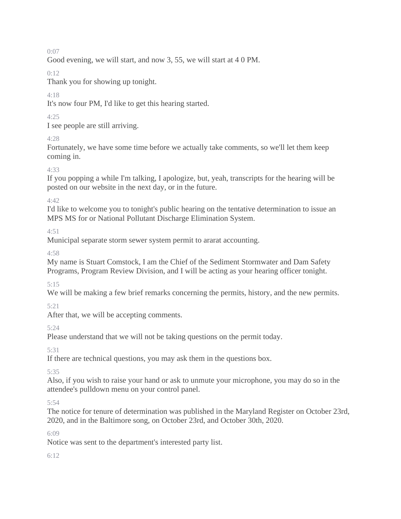0:07

Good evening, we will start, and now 3, 55, we will start at 4 0 PM.

0:12

Thank you for showing up tonight.

## 4:18

It's now four PM, I'd like to get this hearing started.

# 4:25

I see people are still arriving.

# 4:28

Fortunately, we have some time before we actually take comments, so we'll let them keep coming in.

# 4:33

If you popping a while I'm talking, I apologize, but, yeah, transcripts for the hearing will be posted on our website in the next day, or in the future.

4:42

I'd like to welcome you to tonight's public hearing on the tentative determination to issue an MPS MS for or National Pollutant Discharge Elimination System.

4:51

Municipal separate storm sewer system permit to ararat accounting.

 $4.58$ 

My name is Stuart Comstock, I am the Chief of the Sediment Stormwater and Dam Safety Programs, Program Review Division, and I will be acting as your hearing officer tonight.

5:15

We will be making a few brief remarks concerning the permits, history, and the new permits.

5:21

After that, we will be accepting comments.

5:24

Please understand that we will not be taking questions on the permit today.

5:31

If there are technical questions, you may ask them in the questions box.

5:35

Also, if you wish to raise your hand or ask to unmute your microphone, you may do so in the attendee's pulldown menu on your control panel.

5:54

The notice for tenure of determination was published in the Maryland Register on October 23rd, 2020, and in the Baltimore song, on October 23rd, and October 30th, 2020.

6:09

Notice was sent to the department's interested party list.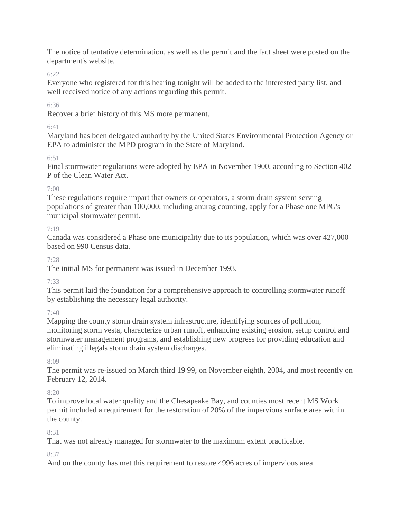The notice of tentative determination, as well as the permit and the fact sheet were posted on the department's website.

6:22

Everyone who registered for this hearing tonight will be added to the interested party list, and well received notice of any actions regarding this permit.

6:36

Recover a brief history of this MS more permanent.

# 6:41

Maryland has been delegated authority by the United States Environmental Protection Agency or EPA to administer the MPD program in the State of Maryland.

## 6:51

Final stormwater regulations were adopted by EPA in November 1900, according to Section 402 P of the Clean Water Act.

## 7:00

These regulations require impart that owners or operators, a storm drain system serving populations of greater than 100,000, including anurag counting, apply for a Phase one MPG's municipal stormwater permit.

## 7:19

Canada was considered a Phase one municipality due to its population, which was over 427,000 based on 990 Census data.

7:28

The initial MS for permanent was issued in December 1993.

# 7:33

This permit laid the foundation for a comprehensive approach to controlling stormwater runoff by establishing the necessary legal authority.

## 7:40

Mapping the county storm drain system infrastructure, identifying sources of pollution, monitoring storm vesta, characterize urban runoff, enhancing existing erosion, setup control and stormwater management programs, and establishing new progress for providing education and eliminating illegals storm drain system discharges.

## 8:09

The permit was re-issued on March third 19 99, on November eighth, 2004, and most recently on February 12, 2014.

## $8:20$

To improve local water quality and the Chesapeake Bay, and counties most recent MS Work permit included a requirement for the restoration of 20% of the impervious surface area within the county.

# 8:31

That was not already managed for stormwater to the maximum extent practicable.

# 8:37

And on the county has met this requirement to restore 4996 acres of impervious area.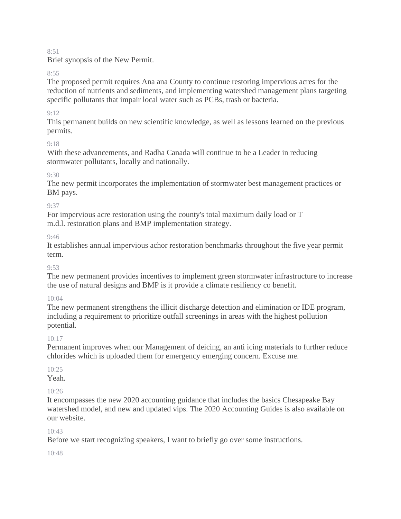#### 8:51

Brief synopsis of the New Permit.

#### 8:55

The proposed permit requires Ana ana County to continue restoring impervious acres for the reduction of nutrients and sediments, and implementing watershed management plans targeting specific pollutants that impair local water such as PCBs, trash or bacteria.

#### 9:12

This permanent builds on new scientific knowledge, as well as lessons learned on the previous permits.

#### 9:18

With these advancements, and Radha Canada will continue to be a Leader in reducing stormwater pollutants, locally and nationally.

## 9:30

The new permit incorporates the implementation of stormwater best management practices or BM pays.

#### 9:37

For impervious acre restoration using the county's total maximum daily load or T m.d.l. restoration plans and BMP implementation strategy.

#### 9:46

It establishes annual impervious achor restoration benchmarks throughout the five year permit term.

#### $0.53$

The new permanent provides incentives to implement green stormwater infrastructure to increase the use of natural designs and BMP is it provide a climate resiliency co benefit.

#### $10 \cdot 04$

The new permanent strengthens the illicit discharge detection and elimination or IDE program, including a requirement to prioritize outfall screenings in areas with the highest pollution potential.

#### 10:17

Permanent improves when our Management of deicing, an anti icing materials to further reduce chlorides which is uploaded them for emergency emerging concern. Excuse me.

## $10.25$

Yeah.

## $10.26$

It encompasses the new 2020 accounting guidance that includes the basics Chesapeake Bay watershed model, and new and updated vips. The 2020 Accounting Guides is also available on our website.

#### $10.43$

Before we start recognizing speakers, I want to briefly go over some instructions.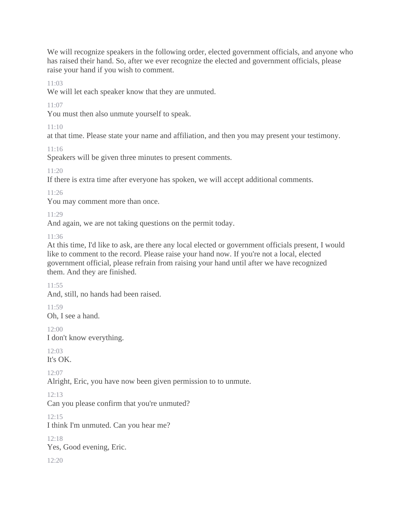We will recognize speakers in the following order, elected government officials, and anyone who has raised their hand. So, after we ever recognize the elected and government officials, please raise your hand if you wish to comment.

 $11:03$ 

We will let each speaker know that they are unmuted.

11:07

You must then also unmute yourself to speak.

11:10

at that time. Please state your name and affiliation, and then you may present your testimony.

11:16

Speakers will be given three minutes to present comments.

11:20

If there is extra time after everyone has spoken, we will accept additional comments.

11:26

You may comment more than once.

11:29

And again, we are not taking questions on the permit today.

11:36

At this time, I'd like to ask, are there any local elected or government officials present, I would like to comment to the record. Please raise your hand now. If you're not a local, elected government official, please refrain from raising your hand until after we have recognized them. And they are finished.

11:55

And, still, no hands had been raised.

11:59

Oh, I see a hand.

12:00 I don't know everything.

12:03

It's OK.

 $12:07$ 

Alright, Eric, you have now been given permission to to unmute.

12:13

Can you please confirm that you're unmuted?

12:15

I think I'm unmuted. Can you hear me?

12:18

Yes, Good evening, Eric.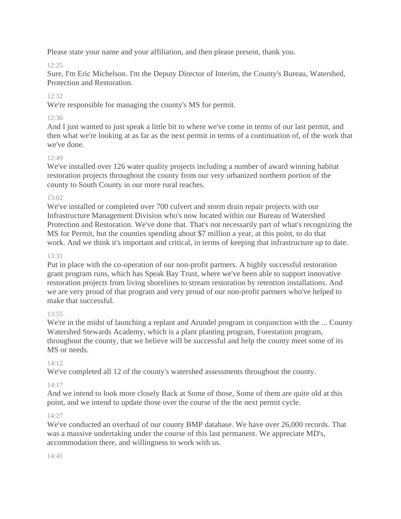Please state your name and your affiliation, and then please present, thank you.

# 12:25

Sure, I'm Eric Michelson. I'm the Deputy Director of Interim, the County's Bureau, Watershed, Protection and Restoration.

# $12.32$

We're responsible for managing the county's MS for permit.

# 12:36

And I just wanted to just speak a little bit to where we've come in terms of our last permit, and then what we're looking at as far as the next permit in terms of a continuation of, of the work that we've done.

# $12.49$

We've installed over 126 water quality projects including a number of award winning habitat restoration projects throughout the county from our very urbanized northern portion of the county to South County in our more rural reaches.

## $13:02$

We've installed or completed over 700 culvert and storm drain repair projects with our Infrastructure Management Division who's now located within our Bureau of Watershed Protection and Restoration. We've done that. That's not necessarily part of what's recognizing the MS for Permit, but the counties spending about \$7 million a year, at this point, to do that work. And we think it's important and critical, in terms of keeping that infrastructure up to date.

## 13:31

Put in place with the co-operation of our non-profit partners. A highly successful restoration grant program runs, which has Speak Bay Trust, where we've been able to support innovative restoration projects from living shorelines to stream restoration by retention installations. And we are very proud of that program and very proud of our non-profit partners who've helped to make that successful.

# $13.55$

We're in the midst of launching a replant and Arundel program in conjunction with the ... County Watershed Stewards Academy, which is a plant planting program, Forestation program, throughout the county, that we believe will be successful and help the county meet some of its MS or needs.

## $14.12$

We've completed all 12 of the county's watershed assessments throughout the county.

## 14:17

And we intend to look more closely Back at Some of those, Some of them are quite old at this point, and we intend to update those over the course of the the next permit cycle.

## 14:27

We've conducted an overhaul of our county BMP database. We have over 26,000 records. That was a massive undertaking under the course of this last permanent. We appreciate MD's, accommodation there, and willingness to work with us.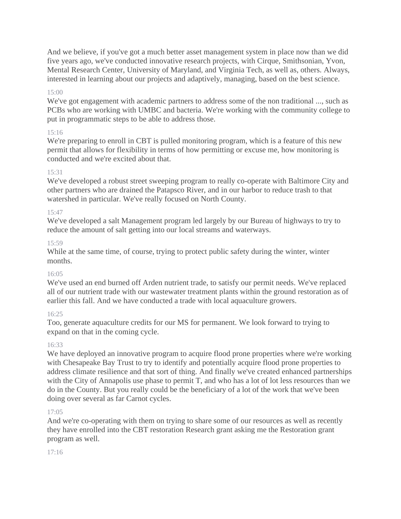And we believe, if you've got a much better asset management system in place now than we did five years ago, we've conducted innovative research projects, with Cirque, Smithsonian, Yvon, Mental Research Center, University of Maryland, and Virginia Tech, as well as, others. Always, interested in learning about our projects and adaptively, managing, based on the best science.

#### 15:00

We've got engagement with academic partners to address some of the non traditional ..., such as PCBs who are working with UMBC and bacteria. We're working with the community college to put in programmatic steps to be able to address those.

## 15:16

We're preparing to enroll in CBT is pulled monitoring program, which is a feature of this new permit that allows for flexibility in terms of how permitting or excuse me, how monitoring is conducted and we're excited about that.

## 15:31

We've developed a robust street sweeping program to really co-operate with Baltimore City and other partners who are drained the Patapsco River, and in our harbor to reduce trash to that watershed in particular. We've really focused on North County.

#### 15:47

We've developed a salt Management program led largely by our Bureau of highways to try to reduce the amount of salt getting into our local streams and waterways.

#### 15:59

While at the same time, of course, trying to protect public safety during the winter, winter months.

## 16:05

We've used an end burned off Arden nutrient trade, to satisfy our permit needs. We've replaced all of our nutrient trade with our wastewater treatment plants within the ground restoration as of earlier this fall. And we have conducted a trade with local aquaculture growers.

## 16:25

Too, generate aquaculture credits for our MS for permanent. We look forward to trying to expand on that in the coming cycle.

## 16:33

We have deployed an innovative program to acquire flood prone properties where we're working with Chesapeake Bay Trust to try to identify and potentially acquire flood prone properties to address climate resilience and that sort of thing. And finally we've created enhanced partnerships with the City of Annapolis use phase to permit T, and who has a lot of lot less resources than we do in the County. But you really could be the beneficiary of a lot of the work that we've been doing over several as far Carnot cycles.

## 17:05

And we're co-operating with them on trying to share some of our resources as well as recently they have enrolled into the CBT restoration Research grant asking me the Restoration grant program as well.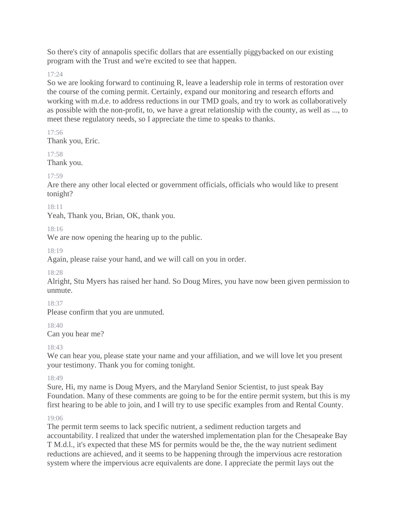So there's city of annapolis specific dollars that are essentially piggybacked on our existing program with the Trust and we're excited to see that happen.

#### 17:24

So we are looking forward to continuing R, leave a leadership role in terms of restoration over the course of the coming permit. Certainly, expand our monitoring and research efforts and working with m.d.e. to address reductions in our TMD goals, and try to work as collaboratively as possible with the non-profit, to, we have a great relationship with the county, as well as ..., to meet these regulatory needs, so I appreciate the time to speaks to thanks.

## 17:56

Thank you, Eric.

# 17:58

Thank you.

## 17:59

Are there any other local elected or government officials, officials who would like to present tonight?

## 18:11

Yeah, Thank you, Brian, OK, thank you.

## 18:16

We are now opening the hearing up to the public.

#### 18:19

Again, please raise your hand, and we will call on you in order.

## 18:28

Alright, Stu Myers has raised her hand. So Doug Mires, you have now been given permission to unmute.

## 18:37

Please confirm that you are unmuted.

## 18:40

Can you hear me?

## 18:43

We can hear you, please state your name and your affiliation, and we will love let you present your testimony. Thank you for coming tonight.

## 18:49

Sure, Hi, my name is Doug Myers, and the Maryland Senior Scientist, to just speak Bay Foundation. Many of these comments are going to be for the entire permit system, but this is my first hearing to be able to join, and I will try to use specific examples from and Rental County.

## 19:06

The permit term seems to lack specific nutrient, a sediment reduction targets and accountability. I realized that under the watershed implementation plan for the Chesapeake Bay T M.d.l., it's expected that these MS for permits would be the, the the way nutrient sediment reductions are achieved, and it seems to be happening through the impervious acre restoration system where the impervious acre equivalents are done. I appreciate the permit lays out the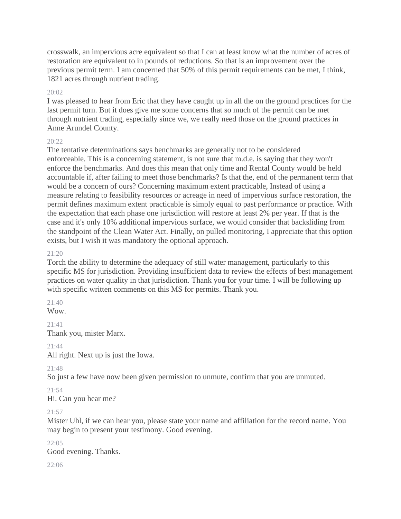crosswalk, an impervious acre equivalent so that I can at least know what the number of acres of restoration are equivalent to in pounds of reductions. So that is an improvement over the previous permit term. I am concerned that 50% of this permit requirements can be met, I think, 1821 acres through nutrient trading.

#### 20:02

I was pleased to hear from Eric that they have caught up in all the on the ground practices for the last permit turn. But it does give me some concerns that so much of the permit can be met through nutrient trading, especially since we, we really need those on the ground practices in Anne Arundel County.

#### $20.22$

The tentative determinations says benchmarks are generally not to be considered enforceable. This is a concerning statement, is not sure that m.d.e. is saying that they won't enforce the benchmarks. And does this mean that only time and Rental County would be held accountable if, after failing to meet those benchmarks? Is that the, end of the permanent term that would be a concern of ours? Concerning maximum extent practicable, Instead of using a measure relating to feasibility resources or acreage in need of impervious surface restoration, the permit defines maximum extent practicable is simply equal to past performance or practice. With the expectation that each phase one jurisdiction will restore at least 2% per year. If that is the case and it's only 10% additional impervious surface, we would consider that backsliding from the standpoint of the Clean Water Act. Finally, on pulled monitoring, I appreciate that this option exists, but I wish it was mandatory the optional approach.

#### 21:20

Torch the ability to determine the adequacy of still water management, particularly to this specific MS for jurisdiction. Providing insufficient data to review the effects of best management practices on water quality in that jurisdiction. Thank you for your time. I will be following up with specific written comments on this MS for permits. Thank you.

# 21:40

Wow.

21:41 Thank you, mister Marx.

# 21:44

All right. Next up is just the Iowa.

21:48

So just a few have now been given permission to unmute, confirm that you are unmuted.

# 21:54

Hi. Can you hear me?

#### 21:57

Mister Uhl, if we can hear you, please state your name and affiliation for the record name. You may begin to present your testimony. Good evening.

#### 22:05

Good evening. Thanks.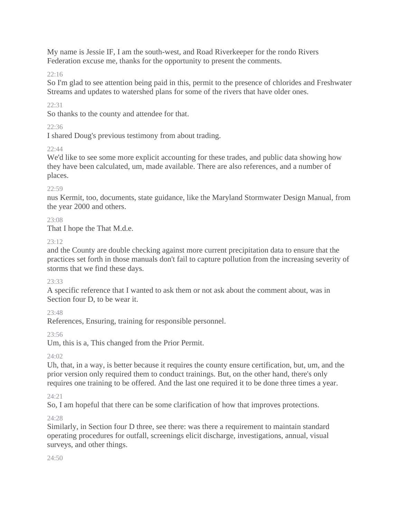My name is Jessie IF, I am the south-west, and Road Riverkeeper for the rondo Rivers Federation excuse me, thanks for the opportunity to present the comments.

22:16

So I'm glad to see attention being paid in this, permit to the presence of chlorides and Freshwater Streams and updates to watershed plans for some of the rivers that have older ones.

22:31

So thanks to the county and attendee for that.

# 22:36

I shared Doug's previous testimony from about trading.

# 22:44

We'd like to see some more explicit accounting for these trades, and public data showing how they have been calculated, um, made available. There are also references, and a number of places.

## $22:59$

nus Kermit, too, documents, state guidance, like the Maryland Stormwater Design Manual, from the year 2000 and others.

## 23:08

That I hope the That M.d.e.

## 23:12

and the County are double checking against more current precipitation data to ensure that the practices set forth in those manuals don't fail to capture pollution from the increasing severity of storms that we find these days.

## 23:33

A specific reference that I wanted to ask them or not ask about the comment about, was in Section four D, to be wear it.

 $23.48$ 

References, Ensuring, training for responsible personnel.

# 23:56

Um, this is a, This changed from the Prior Permit.

# 24:02

Uh, that, in a way, is better because it requires the county ensure certification, but, um, and the prior version only required them to conduct trainings. But, on the other hand, there's only requires one training to be offered. And the last one required it to be done three times a year.

# 24:21

So, I am hopeful that there can be some clarification of how that improves protections.

# $24.28$

Similarly, in Section four D three, see there: was there a requirement to maintain standard operating procedures for outfall, screenings elicit discharge, investigations, annual, visual surveys, and other things.